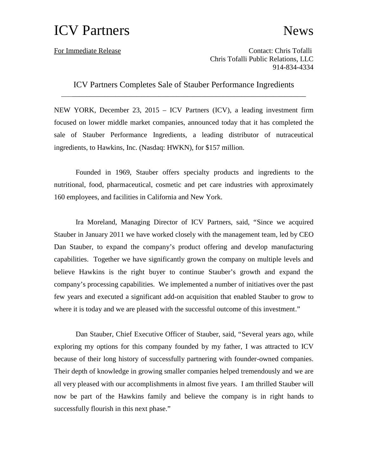## ICV Partners News

For Immediate Release Contact: Chris Tofalli Chris Tofalli Public Relations, LLC 914-834-4334

ICV Partners Completes Sale of Stauber Performance Ingredients

\_\_\_\_\_\_\_\_\_\_\_\_\_\_\_\_\_\_\_\_\_\_\_\_\_\_\_\_\_\_\_\_\_\_\_\_\_\_\_\_\_\_\_\_\_\_\_\_\_\_\_\_\_\_\_\_\_\_\_\_\_\_\_\_\_\_\_\_

NEW YORK, December 23, 2015 – ICV Partners (ICV), a leading investment firm focused on lower middle market companies, announced today that it has completed the sale of Stauber Performance Ingredients, a leading distributor of nutraceutical ingredients, to Hawkins, Inc. (Nasdaq: HWKN), for \$157 million.

Founded in 1969, Stauber offers specialty products and ingredients to the nutritional, food, pharmaceutical, cosmetic and pet care industries with approximately 160 employees, and facilities in California and New York.

Ira Moreland, Managing Director of ICV Partners, said, "Since we acquired Stauber in January 2011 we have worked closely with the management team, led by CEO Dan Stauber, to expand the company's product offering and develop manufacturing capabilities. Together we have significantly grown the company on multiple levels and believe Hawkins is the right buyer to continue Stauber's growth and expand the company's processing capabilities. We implemented a number of initiatives over the past few years and executed a significant add-on acquisition that enabled Stauber to grow to where it is today and we are pleased with the successful outcome of this investment."

Dan Stauber, Chief Executive Officer of Stauber, said, "Several years ago, while exploring my options for this company founded by my father, I was attracted to ICV because of their long history of successfully partnering with founder-owned companies. Their depth of knowledge in growing smaller companies helped tremendously and we are all very pleased with our accomplishments in almost five years. I am thrilled Stauber will now be part of the Hawkins family and believe the company is in right hands to successfully flourish in this next phase."